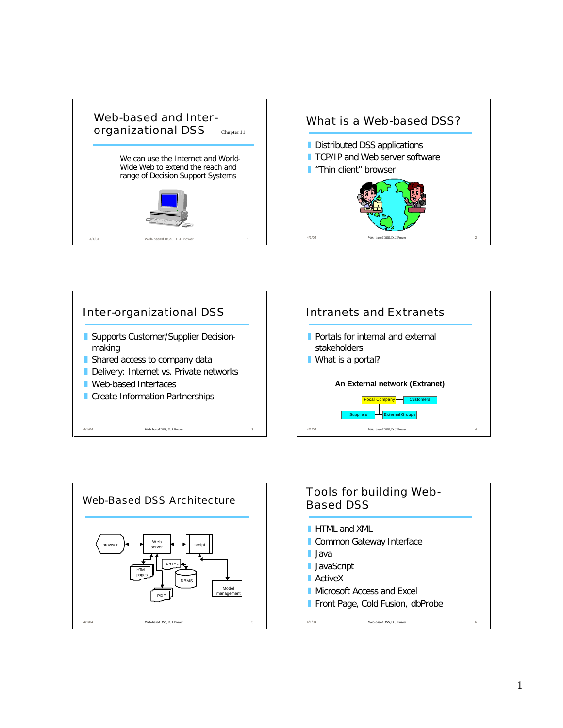









1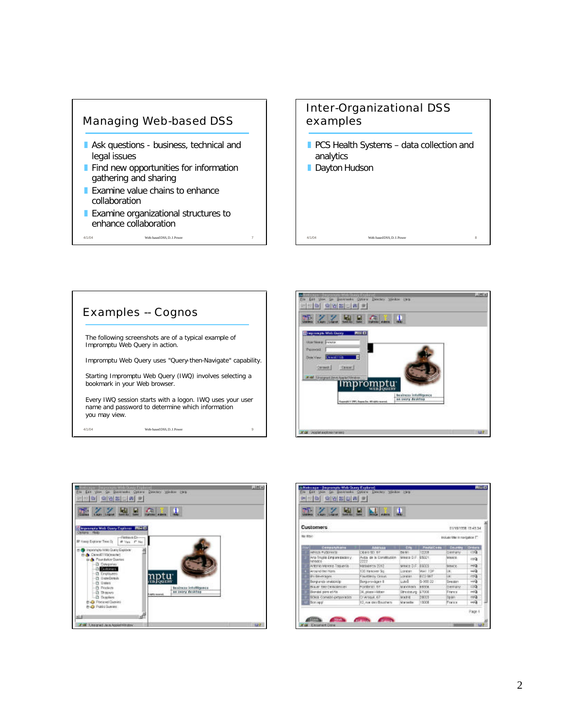

## Inter-Organizational DSS examples

- $\blacksquare$  PCS Health Systems data collection and analytics
- **Dayton Hudson**

4/1/04 Web-based DSS, D. J. Power







| <b>The Second Second</b><br><b>SHERKE LINDS LINDSK</b><br>Seve Apr 1<br><b>MAGE ABVIS</b> |                                              |                                  |                        |                   |                              |                 |  |  |  |
|-------------------------------------------------------------------------------------------|----------------------------------------------|----------------------------------|------------------------|-------------------|------------------------------|-----------------|--|--|--|
| <b>Customers</b><br>EIV1511958 19:45:34                                                   |                                              |                                  |                        |                   |                              |                 |  |  |  |
|                                                                                           | <b>Mr EXHI</b>                               |                                  |                        |                   | industrials in navigation T1 |                 |  |  |  |
|                                                                                           | <b>Consenting</b>                            | American                         | Em.                    | <b>PastelOssa</b> | <b>Country - Grows</b>       |                 |  |  |  |
|                                                                                           | Albock Purgeray to                           | <b>DEBIE 321 BT</b>              | Fall (NY)              | 13208             | Denvisiv-                    | $\Box$          |  |  |  |
|                                                                                           | Ana Truski Empare pack by<br><b>DOMESTIC</b> | Auto de la Constitución<br>12222 | Minister D.F.: (£5021) |                   | Master.                      | <b>CC</b>       |  |  |  |
|                                                                                           | Antonio Melvine, Taqueria                    | MatMeros 2312                    | MAKIN'S DIFT           | 19325             | MANY 6                       | $-51$           |  |  |  |
|                                                                                           | Arcand the Ham                               | 130 Hancover Skg.                | Longton                | MAILTOP           | UH.                          | $-45$           |  |  |  |
|                                                                                           | Una Ethiopicadea                             | F NUTSKI'N CIOLET                | 10YAWL                 | <b>WITH GALT</b>  | Lac.                         | $\Rightarrow$   |  |  |  |
|                                                                                           | <b>Birgunds</b> stubblidg-                   | Burgunovican B                   | Lidell                 | 5-360.00          | Sweden                       | $-0.3$          |  |  |  |
|                                                                                           | <b>RIVAY SHOCKBANGLIN</b>                    | POINT OF                         | Mandelers lesson       |                   | Dernany -                    | $\Box$          |  |  |  |
|                                                                                           | Bondel pers et his                           | 24. place Hidber                 | Strateurg \$7008       |                   | Erance                       | $\rightarrow$   |  |  |  |
|                                                                                           | ROIDE CORVENS DIPIDATION                     | C/ AV69JE, 67                    | <b>MA'B'if</b>         | <b>DRY/9</b>      | EXVIATE                      | $\overline{CD}$ |  |  |  |
|                                                                                           |                                              | 12. n.w des Bouchers             | <b>Marteille</b>       | 13008             | France                       | $\rightarrow 0$ |  |  |  |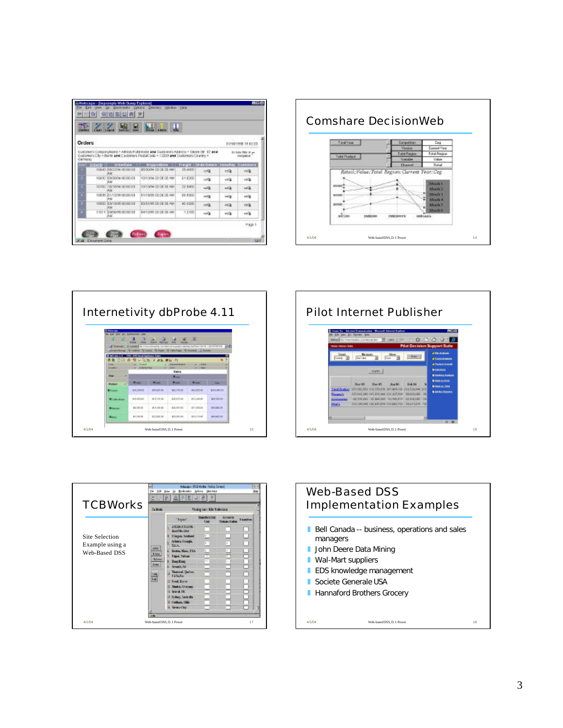| u D<br><b>CHEVROLE</b><br>1,833<br><b>A Area</b> |                  |                                      |                                                                                                                                                                             |          |                                           |                     |                                  |  |  |
|--------------------------------------------------|------------------|--------------------------------------|-----------------------------------------------------------------------------------------------------------------------------------------------------------------------------|----------|-------------------------------------------|---------------------|----------------------------------|--|--|
| Orders                                           |                  |                                      |                                                                                                                                                                             |          |                                           |                     | EIV15/1998 19:52:23              |  |  |
| Germany                                          |                  |                                      | Customers Consumptions + Africa: Futbricate and Customers Address + Obers (6) 57 and<br>Customers/City = Berlin and Castomers PostalCistia = 12237 and Customers/Cistriby = |          |                                           |                     | <b>Include the a</b><br>navostos |  |  |
|                                                  | Row L. Drivers 1 | <b>Urdertiste</b>                    | Shape dDate                                                                                                                                                                 |          | Freight (Orderbetzik SuseRep (Contonie)). |                     |                                  |  |  |
|                                                  |                  | T0645 08/22/94 00:00:EE<br><b>KM</b> | 85/30/24 GD DE DE AM                                                                                                                                                        | 29.4500  | cola                                      | $\leftrightarrow$ Q | 124                              |  |  |
|                                                  |                  | 10/32 03:00:34 00:00:08<br>14.3.4    | 144, BO 100 00 AMO 150                                                                                                                                                      | 61.8200. | $-50$                                     | $600 -$             | ioQ.                             |  |  |
|                                                  |                  | 10702-7811074-001028<br>жы           | TO FORM OTHER BEAM.                                                                                                                                                         | 23,8400  | $-0$                                      | 44.3                | 响音                               |  |  |
|                                                  |                  | 10035 01/12/35 00:00:00<br>36.5.6    | 81/18/95 OD DB DB AM                                                                                                                                                        | 03 5500  | mth                                       | ma                  | 地面                               |  |  |
|                                                  |                  | 10932 @an3d6 00:00 EB                | 33/21/95 00:00:00 AM                                                                                                                                                        | 42,4200  | $\overline{CD}$                           | $-9.3$              | mū                               |  |  |
|                                                  |                  | кū                                   |                                                                                                                                                                             |          |                                           |                     |                                  |  |  |